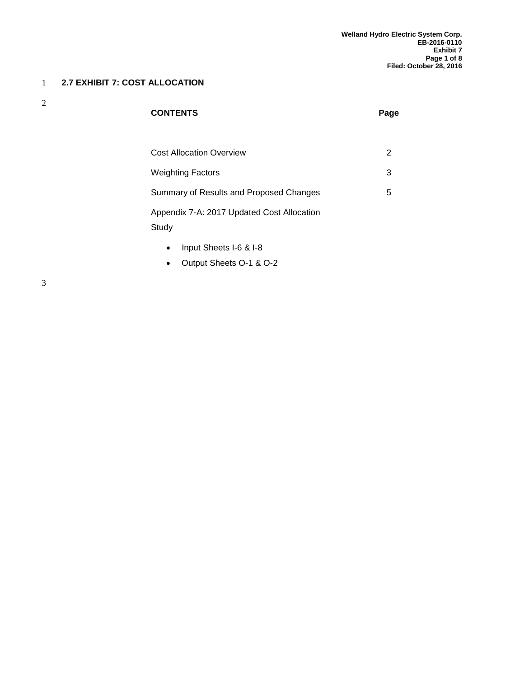#### 1 **2.7 EXHIBIT 7: COST ALLOCATION**

2

| <b>CONTENTS</b>                                     | Page |
|-----------------------------------------------------|------|
|                                                     |      |
| <b>Cost Allocation Overview</b>                     | 2    |
| <b>Weighting Factors</b>                            | 3    |
| Summary of Results and Proposed Changes             | 5    |
| Appendix 7-A: 2017 Updated Cost Allocation<br>Study |      |
| $\sim$ 1 $\sim$ 0.10                                |      |

- Input Sheets I-6 & I-8
- Output Sheets O-1 & O-2

3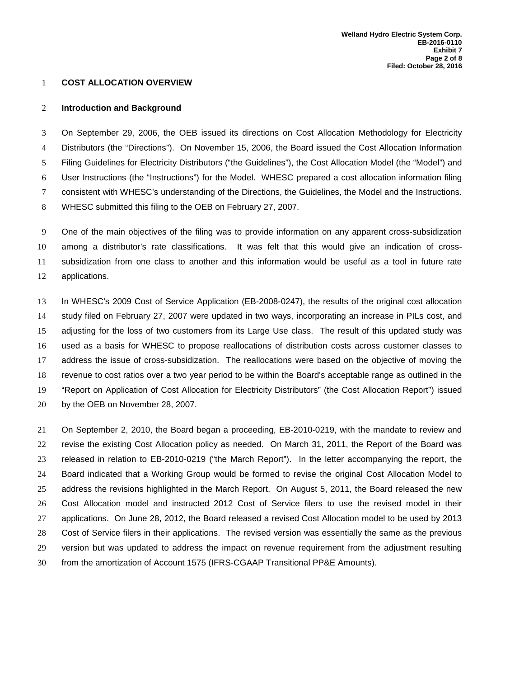#### **COST ALLOCATION OVERVIEW**

#### **Introduction and Background**

 On September 29, 2006, the OEB issued its directions on Cost Allocation Methodology for Electricity Distributors (the "Directions"). On November 15, 2006, the Board issued the Cost Allocation Information Filing Guidelines for Electricity Distributors ("the Guidelines"), the Cost Allocation Model (the "Model") and User Instructions (the "Instructions") for the Model. WHESC prepared a cost allocation information filing consistent with WHESC's understanding of the Directions, the Guidelines, the Model and the Instructions. WHESC submitted this filing to the OEB on February 27, 2007.

 One of the main objectives of the filing was to provide information on any apparent cross-subsidization among a distributor's rate classifications. It was felt that this would give an indication of cross- subsidization from one class to another and this information would be useful as a tool in future rate applications.

 In WHESC's 2009 Cost of Service Application (EB-2008-0247), the results of the original cost allocation study filed on February 27, 2007 were updated in two ways, incorporating an increase in PILs cost, and adjusting for the loss of two customers from its Large Use class. The result of this updated study was used as a basis for WHESC to propose reallocations of distribution costs across customer classes to address the issue of cross-subsidization. The reallocations were based on the objective of moving the revenue to cost ratios over a two year period to be within the Board's acceptable range as outlined in the "Report on Application of Cost Allocation for Electricity Distributors" (the Cost Allocation Report") issued by the OEB on November 28, 2007.

 On September 2, 2010, the Board began a proceeding, EB-2010-0219, with the mandate to review and revise the existing Cost Allocation policy as needed. On March 31, 2011, the Report of the Board was released in relation to EB-2010-0219 ("the March Report"). In the letter accompanying the report, the Board indicated that a Working Group would be formed to revise the original Cost Allocation Model to address the revisions highlighted in the March Report. On August 5, 2011, the Board released the new Cost Allocation model and instructed 2012 Cost of Service filers to use the revised model in their applications. On June 28, 2012, the Board released a revised Cost Allocation model to be used by 2013 Cost of Service filers in their applications. The revised version was essentially the same as the previous version but was updated to address the impact on revenue requirement from the adjustment resulting from the amortization of Account 1575 (IFRS-CGAAP Transitional PP&E Amounts).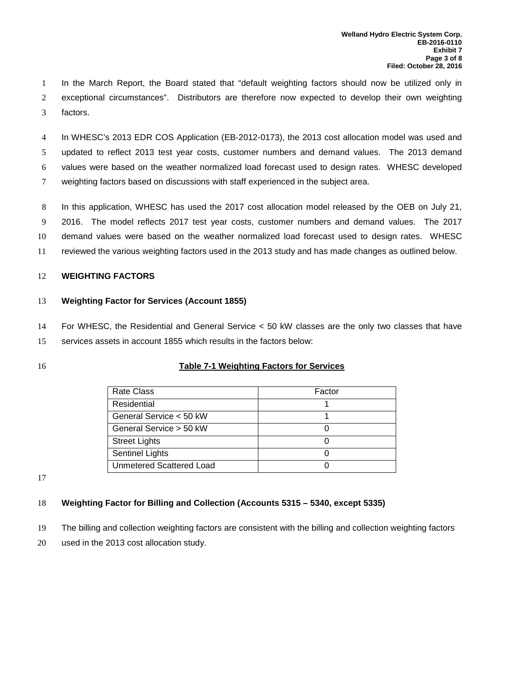In the March Report, the Board stated that "default weighting factors should now be utilized only in exceptional circumstances". Distributors are therefore now expected to develop their own weighting factors.

 In WHESC's 2013 EDR COS Application (EB-2012-0173), the 2013 cost allocation model was used and updated to reflect 2013 test year costs, customer numbers and demand values. The 2013 demand values were based on the weather normalized load forecast used to design rates. WHESC developed weighting factors based on discussions with staff experienced in the subject area.

 In this application, WHESC has used the 2017 cost allocation model released by the OEB on July 21, 2016. The model reflects 2017 test year costs, customer numbers and demand values. The 2017 demand values were based on the weather normalized load forecast used to design rates. WHESC reviewed the various weighting factors used in the 2013 study and has made changes as outlined below.

#### **WEIGHTING FACTORS**

#### **Weighting Factor for Services (Account 1855)**

 For WHESC, the Residential and General Service < 50 kW classes are the only two classes that have services assets in account 1855 which results in the factors below:

#### **Table 7-1 Weighting Factors for Services**

| <b>Rate Class</b>        | Factor |
|--------------------------|--------|
| Residential              |        |
| General Service < 50 kW  |        |
| General Service > 50 kW  |        |
| <b>Street Lights</b>     |        |
| Sentinel Lights          |        |
| Unmetered Scattered Load |        |

#### **Weighting Factor for Billing and Collection (Accounts 5315 – 5340, except 5335)**

The billing and collection weighting factors are consistent with the billing and collection weighting factors

used in the 2013 cost allocation study.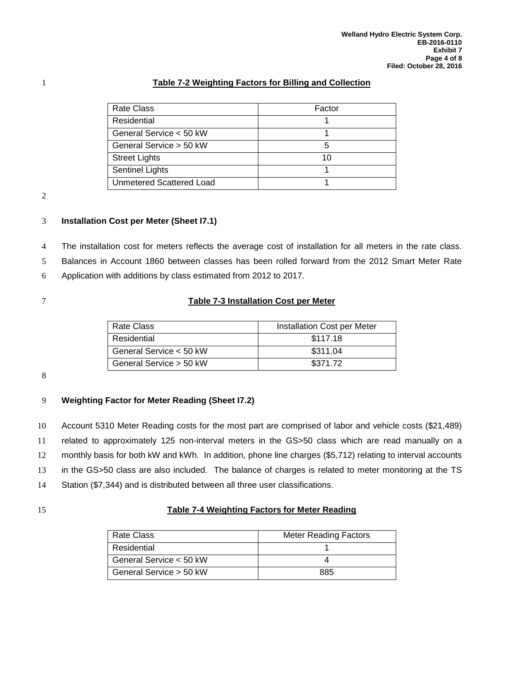#### 1 **Table 7-2 Weighting Factors for Billing and Collection**

| <b>Rate Class</b>               | Factor |
|---------------------------------|--------|
| Residential                     |        |
| General Service < 50 kW         |        |
| General Service > 50 kW         |        |
| <b>Street Lights</b>            | 10     |
| <b>Sentinel Lights</b>          |        |
| <b>Unmetered Scattered Load</b> |        |

2

#### 3 **Installation Cost per Meter (Sheet I7.1)**

4 The installation cost for meters reflects the average cost of installation for all meters in the rate class.

5 Balances in Account 1860 between classes has been rolled forward from the 2012 Smart Meter Rate

6 Application with additions by class estimated from 2012 to 2017.

#### 7 **Table 7-3 Installation Cost per Meter**

| Rate Class              | Installation Cost per Meter |  |
|-------------------------|-----------------------------|--|
| Residential             | \$117.18                    |  |
| General Service < 50 kW | \$311.04                    |  |
| General Service > 50 kW | \$371.72                    |  |

8

#### 9 **Weighting Factor for Meter Reading (Sheet I7.2)**

 Account 5310 Meter Reading costs for the most part are comprised of labor and vehicle costs (\$21,489) related to approximately 125 non-interval meters in the GS>50 class which are read manually on a monthly basis for both kW and kWh. In addition, phone line charges (\$5,712) relating to interval accounts in the GS>50 class are also included. The balance of charges is related to meter monitoring at the TS Station (\$7,344) and is distributed between all three user classifications.

#### 15 **Table 7-4 Weighting Factors for Meter Reading**

| Rate Class              | <b>Meter Reading Factors</b> |
|-------------------------|------------------------------|
| Residential             |                              |
| General Service < 50 kW |                              |
| General Service > 50 kW | 885                          |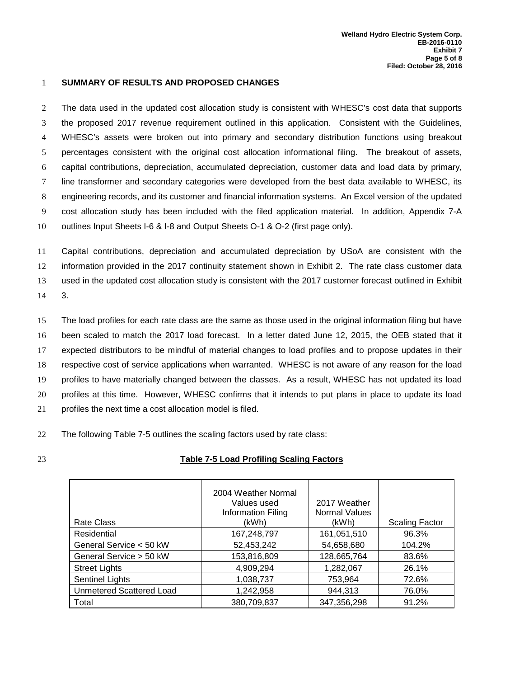#### 1 **SUMMARY OF RESULTS AND PROPOSED CHANGES**

 The data used in the updated cost allocation study is consistent with WHESC's cost data that supports the proposed 2017 revenue requirement outlined in this application. Consistent with the Guidelines, WHESC's assets were broken out into primary and secondary distribution functions using breakout percentages consistent with the original cost allocation informational filing. The breakout of assets, capital contributions, depreciation, accumulated depreciation, customer data and load data by primary, line transformer and secondary categories were developed from the best data available to WHESC, its engineering records, and its customer and financial information systems. An Excel version of the updated cost allocation study has been included with the filed application material. In addition, Appendix 7-A outlines Input Sheets I-6 & I-8 and Output Sheets O-1 & O-2 (first page only).

 Capital contributions, depreciation and accumulated depreciation by USoA are consistent with the information provided in the 2017 continuity statement shown in Exhibit 2. The rate class customer data used in the updated cost allocation study is consistent with the 2017 customer forecast outlined in Exhibit 14 3.

 The load profiles for each rate class are the same as those used in the original information filing but have been scaled to match the 2017 load forecast. In a letter dated June 12, 2015, the OEB stated that it expected distributors to be mindful of material changes to load profiles and to propose updates in their respective cost of service applications when warranted. WHESC is not aware of any reason for the load profiles to have materially changed between the classes. As a result, WHESC has not updated its load profiles at this time. However, WHESC confirms that it intends to put plans in place to update its load profiles the next time a cost allocation model is filed.

22 The following Table 7-5 outlines the scaling factors used by rate class:

#### 23 **Table 7-5 Load Profiling Scaling Factors**

|                          | 2004 Weather Normal<br>Values used<br>Information Filing | 2017 Weather<br><b>Normal Values</b> |                       |
|--------------------------|----------------------------------------------------------|--------------------------------------|-----------------------|
| Rate Class               | (kWh)                                                    | (kWh)                                | <b>Scaling Factor</b> |
| Residential              | 167,248,797                                              | 161,051,510                          | 96.3%                 |
| General Service < 50 kW  | 52,453,242                                               | 54,658,680                           | 104.2%                |
| General Service > 50 kW  | 153,816,809                                              | 128,665,764                          | 83.6%                 |
| <b>Street Lights</b>     | 4,909,294                                                | 1,282,067                            | 26.1%                 |
| Sentinel Lights          | 1,038,737                                                | 753,964                              | 72.6%                 |
| Unmetered Scattered Load | 1,242,958                                                | 944,313                              | 76.0%                 |
| Total                    | 380,709,837                                              | 347,356,298                          | 91.2%                 |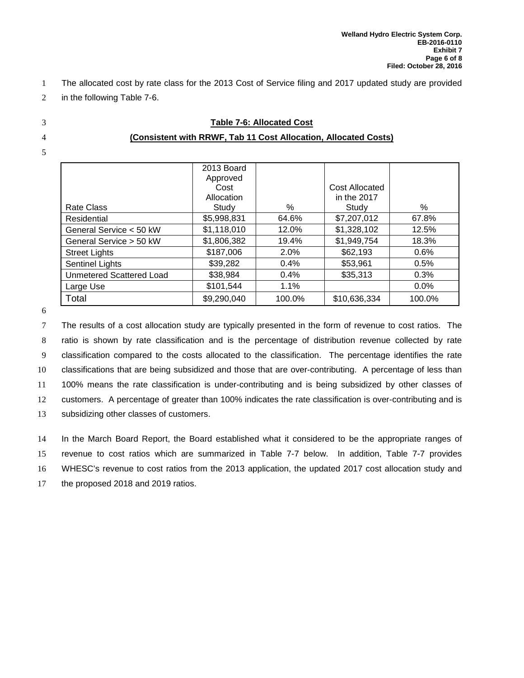- 1 The allocated cost by rate class for the 2013 Cost of Service filing and 2017 updated study are provided
- 2 in the following Table 7-6.
- 
- 
- 5

| <b>Table 7-6: Allocated Cost</b>                                |
|-----------------------------------------------------------------|
| (Consistent with RRWF, Tab 11 Cost Allocation, Allocated Costs) |

|                                 | 2013 Board  |        |                |        |
|---------------------------------|-------------|--------|----------------|--------|
|                                 | Approved    |        |                |        |
|                                 | Cost        |        | Cost Allocated |        |
|                                 | Allocation  |        | in the 2017    |        |
| Rate Class                      | Study       | %      | Study          | %      |
| Residential                     | \$5,998,831 | 64.6%  | \$7,207,012    | 67.8%  |
| General Service < 50 kW         | \$1,118,010 | 12.0%  | \$1,328,102    | 12.5%  |
| General Service > 50 kW         | \$1,806,382 | 19.4%  | \$1,949,754    | 18.3%  |
| <b>Street Lights</b>            | \$187,006   | 2.0%   | \$62,193       | 0.6%   |
| Sentinel Lights                 | \$39,282    | 0.4%   | \$53,961       | 0.5%   |
| <b>Unmetered Scattered Load</b> | \$38,984    | 0.4%   | \$35,313       | 0.3%   |
| Large Use                       | \$101,544   | 1.1%   |                | 0.0%   |
| Total                           | \$9,290,040 | 100.0% | \$10,636,334   | 100.0% |

6

 The results of a cost allocation study are typically presented in the form of revenue to cost ratios. The ratio is shown by rate classification and is the percentage of distribution revenue collected by rate classification compared to the costs allocated to the classification. The percentage identifies the rate classifications that are being subsidized and those that are over-contributing. A percentage of less than 100% means the rate classification is under-contributing and is being subsidized by other classes of customers. A percentage of greater than 100% indicates the rate classification is over-contributing and is subsidizing other classes of customers.

 In the March Board Report, the Board established what it considered to be the appropriate ranges of revenue to cost ratios which are summarized in Table 7-7 below. In addition, Table 7-7 provides WHESC's revenue to cost ratios from the 2013 application, the updated 2017 cost allocation study and the proposed 2018 and 2019 ratios.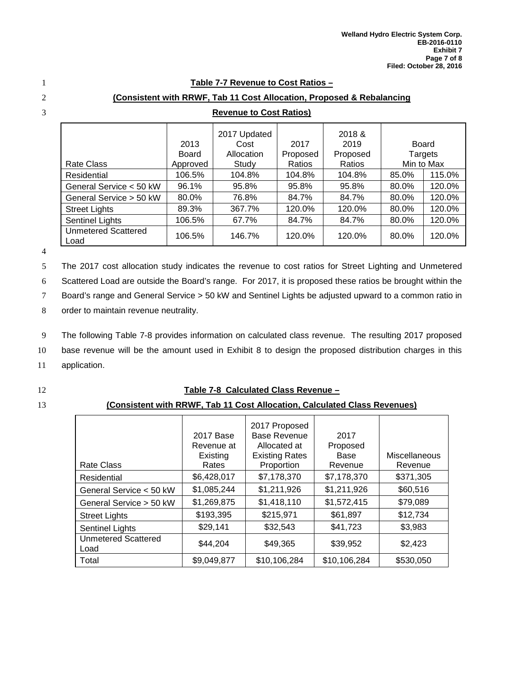#### 1 **Table 7-7 Revenue to Cost Ratios –**

#### 2 **(Consistent with RRWF, Tab 11 Cost Allocation, Proposed & Rebalancing**

|                                    | 2013<br><b>Board</b> | 2017 Updated<br>Cost<br>Allocation | 2017<br>Proposed | 2018 &<br>2019<br>Proposed | Board<br>Targets |        |
|------------------------------------|----------------------|------------------------------------|------------------|----------------------------|------------------|--------|
| <b>Rate Class</b>                  | Approved             | Study                              | Ratios           | Ratios                     | Min to Max       |        |
| Residential                        | 106.5%               | 104.8%                             | 104.8%           | 104.8%                     | 85.0%            | 115.0% |
| General Service < 50 kW            | 96.1%                | 95.8%                              | 95.8%            | 95.8%                      | 80.0%            | 120.0% |
| General Service > 50 kW            | 80.0%                | 76.8%                              | 84.7%            | 84.7%                      | 80.0%            | 120.0% |
| <b>Street Lights</b>               | 89.3%                | 367.7%                             | 120.0%           | 120.0%                     | 80.0%            | 120.0% |
| Sentinel Lights                    | 106.5%               | 67.7%                              | 84.7%            | 84.7%                      | 80.0%            | 120.0% |
| <b>Unmetered Scattered</b><br>Load | 106.5%               | 146.7%                             | 120.0%           | 120.0%                     | 80.0%            | 120.0% |

### 3 **Revenue to Cost Ratios)**

4

5 The 2017 cost allocation study indicates the revenue to cost ratios for Street Lighting and Unmetered

6 Scattered Load are outside the Board's range. For 2017, it is proposed these ratios be brought within the

7 Board's range and General Service > 50 kW and Sentinel Lights be adjusted upward to a common ratio in

8 order to maintain revenue neutrality.

9 The following Table 7-8 provides information on calculated class revenue. The resulting 2017 proposed

10 base revenue will be the amount used in Exhibit 8 to design the proposed distribution charges in this

11 application.

#### 12 **Table 7-8 Calculated Class Revenue –**

#### 13 **(Consistent with RRWF, Tab 11 Cost Allocation, Calculated Class Revenues)**

|                             | 2017 Base<br>Revenue at<br>Existing | 2017 Proposed<br><b>Base Revenue</b><br>Allocated at<br><b>Existing Rates</b> | 2017<br>Proposed<br>Base | Miscellaneous |
|-----------------------------|-------------------------------------|-------------------------------------------------------------------------------|--------------------------|---------------|
| <b>Rate Class</b>           | Rates                               | Proportion                                                                    | Revenue                  | Revenue       |
| Residential                 | \$6,428,017                         | \$7,178,370                                                                   | \$7,178,370              | \$371,305     |
| General Service < 50 kW     | \$1,085,244                         | \$1,211,926                                                                   | \$1,211,926              | \$60,516      |
| General Service > 50 kW     | \$1,269,875                         | \$1,418,110                                                                   | \$1,572,415              | \$79,089      |
| <b>Street Lights</b>        | \$193,395                           | \$215,971                                                                     | \$61,897                 | \$12,734      |
| <b>Sentinel Lights</b>      | \$29,141                            | \$32,543                                                                      | \$41,723                 | \$3,983       |
| Unmetered Scattered<br>Load | \$44,204                            | \$49,365                                                                      | \$39,952                 | \$2,423       |
| Total                       | \$9,049,877                         | \$10,106,284                                                                  | \$10,106,284             | \$530,050     |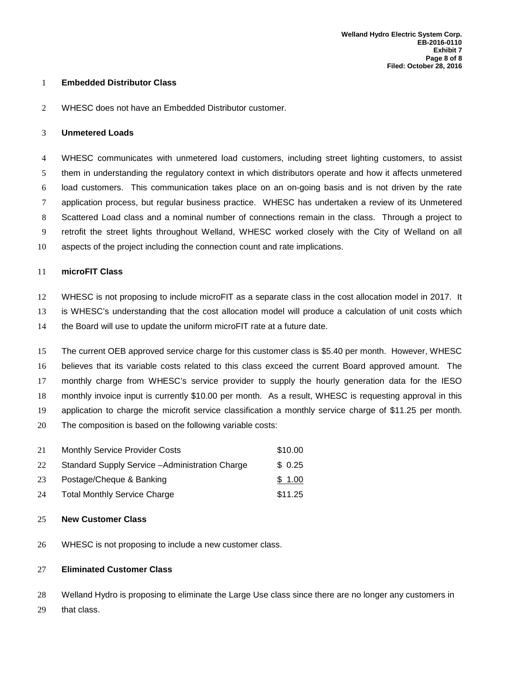#### **Embedded Distributor Class**

WHESC does not have an Embedded Distributor customer.

#### **Unmetered Loads**

 WHESC communicates with unmetered load customers, including street lighting customers, to assist them in understanding the regulatory context in which distributors operate and how it affects unmetered load customers. This communication takes place on an on-going basis and is not driven by the rate application process, but regular business practice. WHESC has undertaken a review of its Unmetered Scattered Load class and a nominal number of connections remain in the class. Through a project to retrofit the street lights throughout Welland, WHESC worked closely with the City of Welland on all aspects of the project including the connection count and rate implications.

#### **microFIT Class**

 WHESC is not proposing to include microFIT as a separate class in the cost allocation model in 2017. It is WHESC's understanding that the cost allocation model will produce a calculation of unit costs which

the Board will use to update the uniform microFIT rate at a future date.

 The current OEB approved service charge for this customer class is \$5.40 per month. However, WHESC believes that its variable costs related to this class exceed the current Board approved amount. The monthly charge from WHESC's service provider to supply the hourly generation data for the IESO monthly invoice input is currently \$10.00 per month. As a result, WHESC is requesting approval in this application to charge the microfit service classification a monthly service charge of \$11.25 per month. The composition is based on the following variable costs:

| 21 | <b>Monthly Service Provider Costs</b>           | \$10.00 |
|----|-------------------------------------------------|---------|
| 22 | Standard Supply Service - Administration Charge | \$0.25  |
| 23 | Postage/Cheque & Banking                        | \$1.00  |
| 24 | <b>Total Monthly Service Charge</b>             | \$11.25 |

#### **New Customer Class**

WHESC is not proposing to include a new customer class.

#### **Eliminated Customer Class**

Welland Hydro is proposing to eliminate the Large Use class since there are no longer any customers in

that class.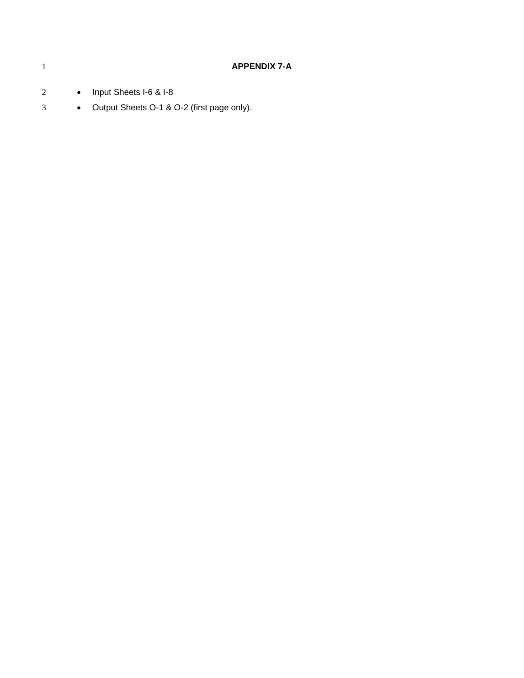|          |                                     | <b>APPENDIX 7-A</b> |
|----------|-------------------------------------|---------------------|
| $\gamma$ | Input Sheets I-6 & I-8<br>$\bullet$ |                     |

• Output Sheets O-1 & O-2 (first page only).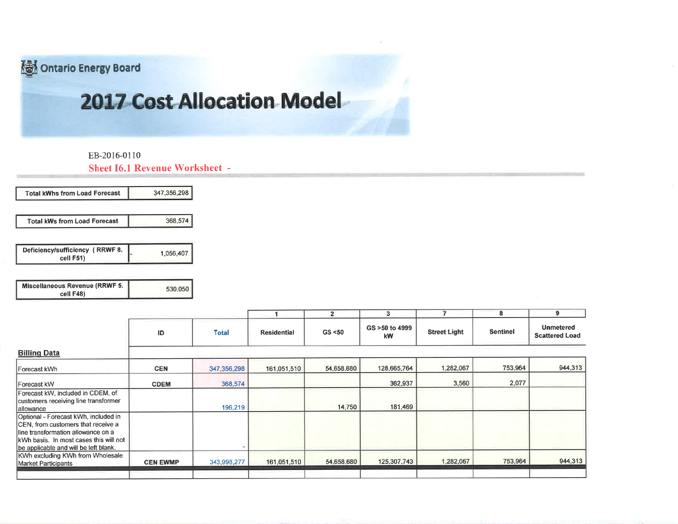Ontario Energy Board

# **2017 Cost Allocation Model**

EB-2016-0110

**Sheet I6.1 Revenue Worksheet -**

| 347,356,298 | <b>Total kWhs from Load Forecast</b>         |
|-------------|----------------------------------------------|
| 368,574     | <b>Total kWs from Load Forecast</b>          |
| 1,056,407   |                                              |
|             | Deficiency/sufficiency (RRWF 8.<br>cell F51) |

| <b>Miscellaneous Revenue (RRWF 5.</b> | 530,050 |
|---------------------------------------|---------|
| cell F48)                             |         |

|                                                                                                                                                                                                      |                 |              |                    | $\overline{2}$ | 3                     |                     | 8               | 9                                         |
|------------------------------------------------------------------------------------------------------------------------------------------------------------------------------------------------------|-----------------|--------------|--------------------|----------------|-----------------------|---------------------|-----------------|-------------------------------------------|
|                                                                                                                                                                                                      | ID              | <b>Total</b> | <b>Residential</b> | GS < 50        | GS > 50 to 4999<br>kW | <b>Street Light</b> | <b>Sentinel</b> | <b>Unmetered</b><br><b>Scattered Load</b> |
| <b>Billing Data</b>                                                                                                                                                                                  |                 |              |                    |                |                       |                     |                 |                                           |
| Forecast kWh                                                                                                                                                                                         | <b>CEN</b>      | 347,356,298  | 161,051,510        | 54,658,680     | 128,665,764           | 1,282,067           | 753,964         | 944,313                                   |
| Forecast kW                                                                                                                                                                                          | <b>CDEM</b>     | 368,574      |                    |                | 362,937               | 3,560               | 2,077           |                                           |
| Forecast kW, included in CDEM, of<br>customers receiving line transformer<br>allowance                                                                                                               |                 | 196,219      |                    | 14,750         | 181,469               |                     |                 |                                           |
| Optional - Forecast kWh, included in<br>CEN, from customers that receive a<br>lline transformation allowance on a<br>kWh basis. In most cases this will not<br>be applicable and will be left blank. |                 |              |                    |                |                       |                     |                 |                                           |
| KWh excluding KWh from Wholesale<br>Market Participants                                                                                                                                              | <b>CEN EWMP</b> | 343,998,277  | 161,051,510        | 54,658,680     | 125,307,743           | 1,282,067           | 753,964         | 944,313                                   |
|                                                                                                                                                                                                      |                 |              |                    |                |                       |                     |                 |                                           |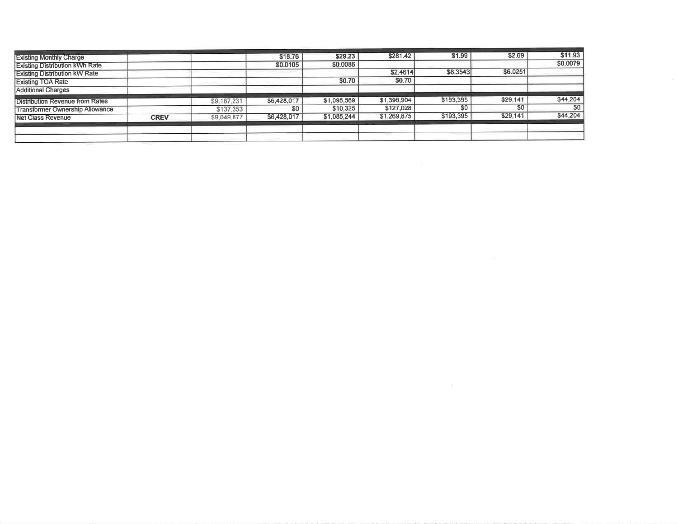| <b>Existing Monthly Charge</b>         |             |             | \$18.76     | \$29.23     | \$281.42    | \$1.99    | \$2.69   | \$11.93   |
|----------------------------------------|-------------|-------------|-------------|-------------|-------------|-----------|----------|-----------|
| <b>Existing Distribution kWh Rate</b>  |             |             | \$0.0105    | \$0.0086    |             |           |          | \$0.0079  |
| <b>Existing Distribution kW Rate</b>   |             |             |             |             | \$2.4614    | \$8.3543  | \$6.0251 |           |
| <b>Existing TOA Rate</b>               |             |             |             | \$0.70      | \$0.70      |           |          |           |
| <b>Additional Charges</b>              |             |             |             |             |             |           |          |           |
| <b>Distribution Revenue from Rates</b> |             | \$9,187,231 | \$6,428,017 | \$1,095,569 | \$1,396,904 | \$193,395 | \$29,141 | \$44,204  |
| <b>Transformer Ownership Allowance</b> |             | \$137,353   | SO.         | \$10,325    | \$127,028   | \$0       | \$0      | <b>SO</b> |
| <b>Net Class Revenue</b>               | <b>CREV</b> | \$9,049,877 | \$6,428,017 | \$1,085,244 | \$1,269,875 | \$193,395 | \$29,141 | \$44,204  |
|                                        |             |             |             |             |             |           |          |           |
|                                        |             |             |             |             |             |           |          |           |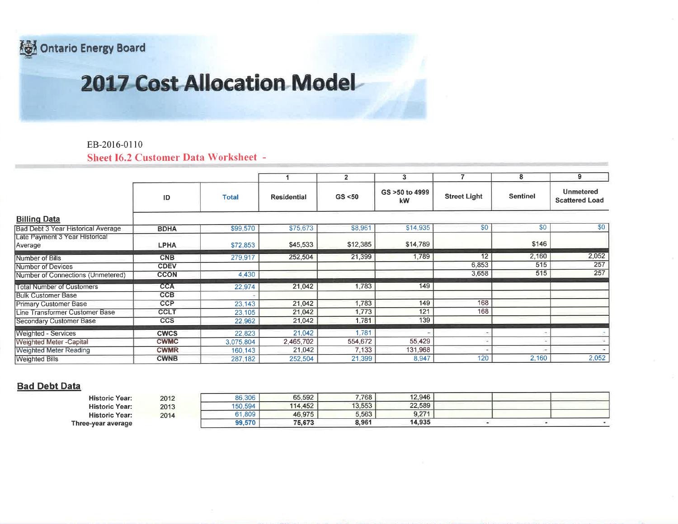**ontario Energy Board** 

# 2017 Cost Allocation Model

### EB-2016-0110

**Sheet I6.2 Customer Data Worksheet -**

|                                           |             |              |                    | $\overline{2}$ | 3                    |                     | 8               | 9                                         |
|-------------------------------------------|-------------|--------------|--------------------|----------------|----------------------|---------------------|-----------------|-------------------------------------------|
|                                           | ID          | <b>Total</b> | <b>Residential</b> | GS < 50        | GS >50 to 4999<br>kW | <b>Street Light</b> | <b>Sentinel</b> | <b>Unmetered</b><br><b>Scattered Load</b> |
| <b>Billing Data</b>                       |             |              |                    |                |                      |                     |                 |                                           |
| Bad Debt 3 Year Historical Average        | <b>BDHA</b> | \$99,570     | \$75,673           | \$8,961        | \$14,935             | \$0                 | \$0             | \$0                                       |
| Late Payment 3 Year Historical<br>Average | <b>LPHA</b> | \$72,853     | \$45,533           | \$12,385       | \$14,789             |                     | \$146           |                                           |
| Number of Bills                           | <b>CNB</b>  | 279,917      | 252,504            | 21,399         | 1,789                | 12                  | 2,160           | 2,052                                     |
| Number of Devices                         | <b>CDEV</b> |              |                    |                |                      | 6,853               | 515             | 257                                       |
| Number of Connections (Unmetered)         | <b>CCON</b> | 4,430        |                    |                |                      | 3,658               | 515             | 257                                       |
| <b>Total Number of Customers</b>          | <b>CCA</b>  | 22,974       | 21,042             | 1,783          | 149                  |                     |                 |                                           |
| <b>Bulk Customer Base</b>                 | <b>CCB</b>  |              |                    |                |                      |                     |                 |                                           |
| <b>Primary Customer Base</b>              | <b>CCP</b>  | 23,143       | 21,042             | 1,783          | 149                  | 168                 |                 |                                           |
| Line Transformer Customer Base            | <b>CCLT</b> | 23.105       | 21,042             | 1.773          | 121                  | 168                 |                 |                                           |
| Secondary Customer Base                   | <b>CCS</b>  | 22,962       | 21,042             | 1,781          | 139                  |                     |                 |                                           |
| <b>Weighted - Services</b>                | <b>CWCS</b> | 22,823       | 21,042             | 1.781          |                      |                     |                 |                                           |
| <b>Weighted Meter-Capital</b>             | <b>CWMC</b> | 3,075,804    | 2,465,702          | 554,672        | 55,429               |                     |                 |                                           |
| <b>Weighted Meter Reading</b>             | <b>CWMR</b> | 160,143      | 21,042             | 7,133          | 131,968              |                     |                 |                                           |
| <b>Weighted Bills</b>                     | <b>CWNB</b> | 287,182      | 252,504            | 21,399         | 8,947                | 120                 | 2,160           | 2,052                                     |

#### **Bad Debt Data**

| Three-year average    |      | 99,570  | 75.673 | 8.961  | 14.935 |  |  |
|-----------------------|------|---------|--------|--------|--------|--|--|
| <b>Historic Year:</b> | 2014 | 1.809   | 46,975 | 5,563  | 9.271  |  |  |
| <b>Historic Year:</b> | 2013 | 150.594 | 14.452 | 13,553 | 22.589 |  |  |
| <b>Historic Year:</b> | 2012 | 86,306  | 65,592 | 7,768  | 12,946 |  |  |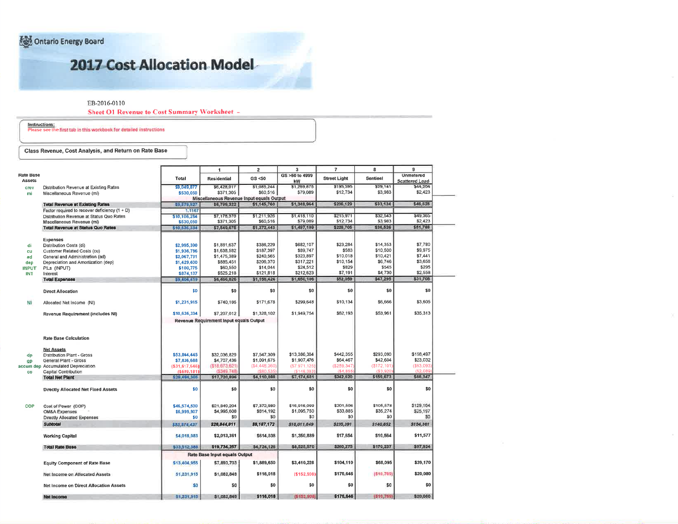Ontario Energy Board

## 2017 Cost Allocation Model

EB-2016-0110

**Sheet O1 Revenue to Cost Summary Worksheet -**

Instructions:<br>Please see the first tab in this workbook for detailed instructions

Class Revenue, Cost Analysis, and Return on Rate Base

|                                                 |                 | $\blacktriangleleft$                      | $\overline{\mathbf{2}}$ | $\overline{\mathbf{3}}$ | $\overline{7}$       | 8                    | 9                                  |
|-------------------------------------------------|-----------------|-------------------------------------------|-------------------------|-------------------------|----------------------|----------------------|------------------------------------|
| tate Base<br>Assets                             | Total           | <b>Residential</b>                        | GS <50                  | GS >50 to 4999<br>kW    | <b>Street Light</b>  | Sentinel             | <b>Unmetered</b><br>Scattered Load |
| Distribution Revenue at Existing Rates<br>crev  | \$9,049,877     | \$6,428,017                               | \$1,085,244             | \$1,269,875             | \$193,395            | \$29.141             | \$44,204                           |
| Miscellaneous Revenue (mi)<br>mi                | \$530,050       | \$371,305                                 | \$60,516                | \$79,089                | \$12,734             | \$3,983              | \$2,423                            |
|                                                 |                 | Miscellaneous Revenue Input equals Output |                         |                         |                      |                      |                                    |
| <b>Total Revenue at Existing Rates</b>          | 59,579,927      | \$6,799,322                               | \$1,145,760             | \$1,348,964             | \$206,129            | \$33,124             | \$46,628                           |
| Factor required to recover deficiency $(1 + D)$ | 1.1167          |                                           |                         |                         |                      |                      |                                    |
| Distribution Revenue at Status Quo Rates        | \$10,106,284    | \$7,178,370                               | \$1,211,926             | \$1,418,110             | \$215,971            | \$32,543             | \$49,365                           |
| Miscellaneous Revenue (mi)                      | \$530,050       | \$371,305                                 | \$60,516                | \$79,089                | \$12,734             | \$3.983              | \$2,423                            |
| <b>Total Revenue at Status Quo Rates</b>        | \$10,636,334    | \$7,549,675                               | \$1,272,443             | \$1,497,199             | \$228,705            | \$35,526             | \$51,788                           |
| Expenses                                        |                 |                                           |                         |                         |                      |                      | \$7,780                            |
| Distribution Costs (di)                         | \$2,995,390     | \$1,881,637                               | \$386,229               | \$682.107<br>\$89,747   | \$23.284<br>\$583    | \$14,353<br>\$10,500 | \$9.975                            |
| Customer Related Costs (cu)<br>cu               | \$1,936,786     | \$1,638,582                               | \$187,397               |                         |                      |                      | \$7,441                            |
| ad<br>General and Administration (ad)           | \$2,067,731     | \$1,475,389                               | \$240,565               | \$323,897               | \$10,018<br>\$10,154 | \$10,421<br>\$6,746  | \$3,658                            |
| Depreciation and Amortization (dep)<br>dep      | \$1,429,600     | \$885,451                                 | \$206,370               | \$317,221               | \$829                | \$545                | \$295                              |
| PILs (INPUT)<br><b>INPUT</b>                    | \$100,775       | \$60,550                                  | \$14,044<br>\$121.818   | \$24,512<br>\$212.623   | \$7,191              | \$4,730              | \$2,558                            |
| <b>INT</b><br>Interest                          | \$874,137       | \$525,218                                 | \$1,156,424             | \$1,650,106             | \$52,059             | \$47,295             | \$31,708                           |
| <b>Total Expenses</b>                           | 59,404,419      | \$6,466,826                               |                         |                         |                      |                      |                                    |
| <b>Direct Allocation</b>                        | \$0             | \$0                                       | \$0                     | \$0                     | \$O                  | \$0                  | \$0                                |
| Allocated Net Income (NI)                       | \$1,231,915     | \$740,186                                 | \$171,678               | \$299.648               | \$10.134             | \$6,666              | \$3,605                            |
| Revenue Requirement (includes NI)               | \$10,636,334    | \$7,207,012                               | \$1,328,102             | \$1.949.754             | \$62,193             | \$53,961             | \$35.313                           |
|                                                 |                 | Revenue Requirement Input equals Output   |                         |                         |                      |                      |                                    |
| <b>Rate Base Calculation</b>                    |                 |                                           |                         |                         |                      |                      |                                    |
| <b>Net Assets</b>                               |                 |                                           |                         |                         |                      |                      |                                    |
| Distribution Plant - Gross<br>dp                | \$53,864,445    | \$32.036.829                              | \$7,547,309             | \$13,386,364            | \$442.355            | \$293,090            | \$158,497                          |
| General Plant - Gross<br>9P                     | \$7,836,688     | \$4,707,436                               | \$1,091,675             | \$1,907,476             | \$64,467             | \$42,604             | \$23,032                           |
| ccum dep Accumulated Depreciation               | ( \$31,617,646] | (\$18,673,621)                            | (S4, 448, 360)          | (57, 971, 125)          | (\$259,347           | (\$172, 101          | (\$93,093)                         |
| Capital Contribution<br><b>CO</b>               | ( \$589.181]    | (\$349.748)                               | (\$80.53)               | (5148.033)              | (\$4.855             | (\$3.920             | (S2.089)                           |
| <b>Total Net Plant</b>                          | 529 494 305     | \$17,720,896                              | \$4,110,088             | \$7,174,681             | \$242,620            | \$159,673            | \$86,347                           |
| Directly Allocated Net Fixed Assets             | \$0             | \$0                                       | \$0                     | \$0                     | \$0                  | \$0                  | \$0                                |
|                                                 |                 |                                           |                         |                         |                      |                      |                                    |
| Cost of Power (COP)<br><b>COP</b>               | \$46,574,530    | \$21,849,204                              | \$7,372,980             | \$16,916,099            | \$201,506            | \$105,578            | \$129,164                          |
| <b>OM&amp;A Expenses</b>                        | \$6,999,907     | \$4,995,608                               | \$814,192               | \$1,095,750             | \$33,885             | \$35,274             | \$25,197                           |
| Directly Allocated Expenses                     | \$0             | \$0                                       | \$0                     | \$0                     | \$0                  | \$O                  | \$0                                |
| <b>Subtotal</b>                                 | \$53,574,437    | \$26,844,811                              | \$8,187,172             | \$18,011,849            | \$235,391            | \$140,852            | \$154,361                          |
| <b>Working Capital</b>                          | 54,018,083      | \$2,013,361                               | \$614,038               | \$1,350,889             | \$17,654             | \$10,564             | \$11,577                           |
| <b>Total Rate Base</b>                          | \$33,512,388    | \$19,734,257                              | \$4,724,126             | \$8,525,570             | \$260,275            | \$170,237            | \$97,924                           |
|                                                 |                 | Rate Base Input equals Output             |                         |                         |                      |                      |                                    |
| <b>Equity Component of Rate Base</b>            | \$13,404,955    | \$7,893,703                               | \$1,889,650             | \$3,410,228             | \$104,110            | \$68,095             | \$39,170                           |
| Net Income on Allocated Assets                  | \$1,231,915     | \$1,082,849                               | \$116,018               | ( \$152,908)            | \$176,646            | (510.769)            | \$20,080                           |
| <b>Net Income on Direct Allocation Assets</b>   | \$0             | \$0                                       | \$0                     | \$0                     | \$0                  | \$0                  | \$0                                |
| <b>Net Income</b>                               | \$1,231,915     | \$1,082,849                               | \$116,018               | (\$152,908)             | \$176,646            | (\$10,769)           | 520,080                            |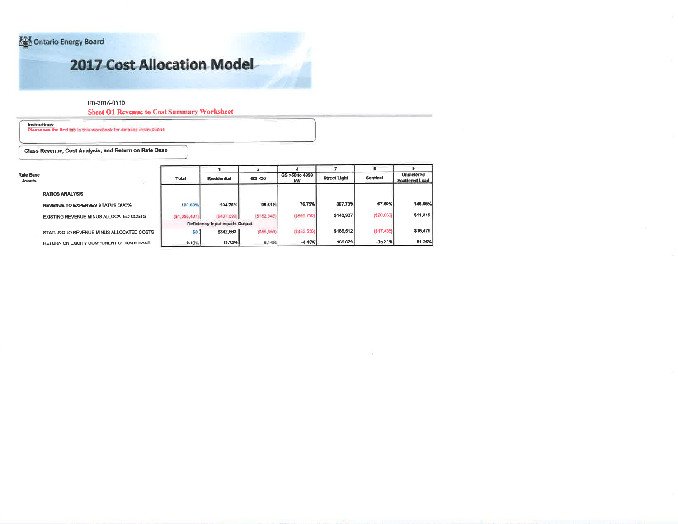Ontario Energy Board

## 2017 Cost Allocation Model

#### EB-2016-0110

**Sheet O1 Revenue to Cost Summary Worksheet -**

Instructions:<br>Please see the first tab in this workbook for detailed instructions

Class Revenue, Cost Analysis, and Return on Rate Base

| <b>Rate Base</b><br><b>Assets</b> | 품                                        | <b>Total</b> | <b>Residential</b>             | GS < 50      | GS >50 to 4999<br>kW | <b>Street Light</b> | 8<br>Sentinel | <b>Unmetered</b><br>Scattered Load |
|-----------------------------------|------------------------------------------|--------------|--------------------------------|--------------|----------------------|---------------------|---------------|------------------------------------|
|                                   | <b>RATIOS ANALYSIS</b>                   |              |                                |              |                      |                     |               |                                    |
|                                   | <b>REVENUE TO EXPENSES STATUS QUO%</b>   | 100,00%      | 104.75%                        | 95,81%       | 76.79%               | 367.73%             | 67.69%        | 146.65%                            |
|                                   | EXISTING REVENUE MINUS ALLOCATED COSTS   | (51.056.407) | (8407.690)                     | ( \$182.342) | (\$600,790)          | \$143,937           | (S20, 836)    | \$11,315                           |
|                                   |                                          |              | Deficiency Input equals Output |              |                      |                     |               |                                    |
|                                   | STATUS QUO REVENUE MINUS ALLOCATED COSTS | \$0          | \$342,663                      | (655, 659)   | (8452, 556)          | \$166,512           | (S17, 435)    | \$16,475                           |
|                                   | RETURN ON EQUITY COMPONENT OF RATE BASE  | 9.19%        | 13.72%                         | 6.14%        | $-4.48%$             | 169.67%             | $-15.81%$     | 51.26%                             |